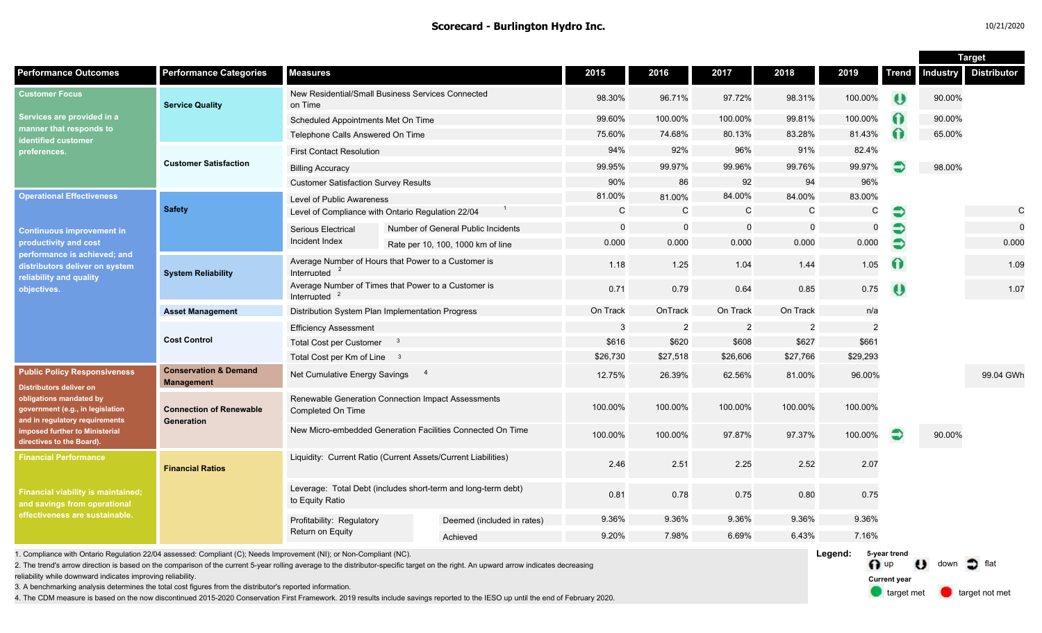n up U down of flat

**Current year**

target met **target not met** 

|                                                                                                                                                                                                                                       |                                                       |                                                                                  |                                                     |              |                |                         |                |               |              | <b>Target</b>   |                    |  |  |
|---------------------------------------------------------------------------------------------------------------------------------------------------------------------------------------------------------------------------------------|-------------------------------------------------------|----------------------------------------------------------------------------------|-----------------------------------------------------|--------------|----------------|-------------------------|----------------|---------------|--------------|-----------------|--------------------|--|--|
| <b>Performance Outcomes</b>                                                                                                                                                                                                           | <b>Performance Categories</b>                         | <b>Measures</b>                                                                  |                                                     | 2015         | 2016           | 2017                    | 2018           | 2019          | <b>Trend</b> | <b>Industry</b> | <b>Distributor</b> |  |  |
| <b>Customer Focus</b><br>Services are provided in a<br>manner that responds to<br>identified customer<br>preferences.                                                                                                                 | <b>Service Quality</b>                                | New Residential/Small Business Services Connected<br>on Time                     |                                                     | 98.30%       | 96.71%         | 97.72%                  | 98.31%         | 100.00%       | U            | 90.00%          |                    |  |  |
|                                                                                                                                                                                                                                       |                                                       | Scheduled Appointments Met On Time                                               |                                                     | 99.60%       | 100.00%        | 100.00%                 | 99.81%         | 100.00%       | $\Omega$     | 90.00%          |                    |  |  |
|                                                                                                                                                                                                                                       |                                                       | Telephone Calls Answered On Time                                                 |                                                     | 75.60%       | 74.68%         | 80.13%                  | 83.28%         | 81.43%        | $\Omega$     | 65.00%          |                    |  |  |
|                                                                                                                                                                                                                                       | <b>Customer Satisfaction</b>                          | <b>First Contact Resolution</b>                                                  |                                                     | 94%          | 92%            | 96%                     | 91%            | 82.4%         |              |                 |                    |  |  |
|                                                                                                                                                                                                                                       |                                                       | <b>Billing Accuracy</b>                                                          |                                                     | 99.95%       | 99.97%         | 99.96%                  | 99.76%         | 99.97%        |              | 98.00%          |                    |  |  |
|                                                                                                                                                                                                                                       |                                                       | <b>Customer Satisfaction Survey Results</b>                                      |                                                     | 90%          | 86             | 92                      | 94             | 96%           |              |                 |                    |  |  |
| <b>Operational Effectiveness</b>                                                                                                                                                                                                      | <b>Safety</b>                                         | <b>Level of Public Awareness</b>                                                 |                                                     | 81.00%       | 81.00%         | 84.00%                  | 84.00%         | 83.00%        |              |                 |                    |  |  |
|                                                                                                                                                                                                                                       |                                                       | Level of Compliance with Ontario Regulation 22/04                                |                                                     | $\mathsf{C}$ | C              | C                       | $\mathsf C$    | C             | €            |                 | C                  |  |  |
| <b>Continuous improvement in</b><br>productivity and cost<br>performance is achieved; and<br>distributors deliver on system<br>reliability and quality<br>objectives.                                                                 |                                                       | Serious Electrical<br>Incident Index                                             | Number of General Public Incidents                  | $\mathbf 0$  | $\Omega$       | $\mathbf 0$             | $\mathbf 0$    | $\Omega$      |              |                 |                    |  |  |
|                                                                                                                                                                                                                                       |                                                       |                                                                                  | Rate per 10, 100, 1000 km of line                   | 0.000        | 0.000          | 0.000                   | 0.000          | 0.000         |              |                 | 0.000              |  |  |
|                                                                                                                                                                                                                                       | <b>System Reliability</b>                             | Interrupted                                                                      | Average Number of Hours that Power to a Customer is | 1.18         | 1.25           | 1.04                    | 1.44           | 1.05          | $\Omega$     |                 | 1.09               |  |  |
|                                                                                                                                                                                                                                       |                                                       | Average Number of Times that Power to a Customer is<br>Interrupted $2$           |                                                     | 0.71         | 0.79           | 0.64                    | 0.85           | 0.75          | $\bullet$    |                 | 1.07               |  |  |
|                                                                                                                                                                                                                                       | <b>Asset Management</b>                               | Distribution System Plan Implementation Progress                                 |                                                     | On Track     | OnTrack        | On Track                | On Track       | n/a           |              |                 |                    |  |  |
|                                                                                                                                                                                                                                       | <b>Cost Control</b>                                   | <b>Efficiency Assessment</b>                                                     |                                                     | 3            | $\overline{c}$ | $\overline{c}$          | $\overline{c}$ | $\mathcal{P}$ |              |                 |                    |  |  |
|                                                                                                                                                                                                                                       |                                                       | <b>Total Cost per Customer</b><br>$\mathbf{3}$                                   |                                                     | \$616        | \$620          | \$608                   | \$627          | \$661         |              |                 |                    |  |  |
|                                                                                                                                                                                                                                       |                                                       | Total Cost per Km of Line 3                                                      | \$26,730                                            | \$27,518     | \$26,606       | \$27,766                | \$29,293       |               |              |                 |                    |  |  |
| <b>Public Policy Responsiveness</b><br><b>Distributors deliver on</b><br>obligations mandated by<br>government (e.g., in legislation<br>and in regulatory requirements<br>imposed further to Ministerial<br>directives to the Board). | <b>Conservation &amp; Demand</b><br><b>Management</b> | $\overline{4}$<br>Net Cumulative Energy Savings                                  |                                                     | 12.75%       | 26.39%         | 62.56%                  | 81.00%         | 96.00%        |              |                 | 99.04 GWh          |  |  |
|                                                                                                                                                                                                                                       | <b>Connection of Renewable</b><br>Generation          | Renewable Generation Connection Impact Assessments<br>Completed On Time          |                                                     | 100.00%      | 100.00%        | 100.00%                 | 100.00%        | 100.00%       |              |                 |                    |  |  |
|                                                                                                                                                                                                                                       |                                                       | New Micro-embedded Generation Facilities Connected On Time                       |                                                     | 100.00%      | 100.00%        | 97.87%                  | 97.37%         | 100.00%       | €            | 90.00%          |                    |  |  |
| <b>Financial Performance</b><br><b>Financial viability is maintained;</b><br>and savings from operational<br>effectiveness are sustainable.                                                                                           | <b>Financial Ratios</b>                               | Liquidity: Current Ratio (Current Assets/Current Liabilities)                    |                                                     | 2.46         | 2.51           | 2.25                    | 2.52           | 2.07          |              |                 |                    |  |  |
|                                                                                                                                                                                                                                       |                                                       | Leverage: Total Debt (includes short-term and long-term debt)<br>to Equity Ratio |                                                     | 0.81         | 0.78           | 0.75                    | 0.80           | 0.75          |              |                 |                    |  |  |
|                                                                                                                                                                                                                                       |                                                       | Profitability: Regulatory<br>Return on Equity                                    | Deemed (included in rates)                          | 9.36%        | 9.36%          | 9.36%                   | 9.36%          | 9.36%         |              |                 |                    |  |  |
|                                                                                                                                                                                                                                       |                                                       |                                                                                  | Achieved                                            | 9.20%        | 7.98%          | 6.69%                   | 6.43%          | 7.16%         |              |                 |                    |  |  |
| . Compliance with Ontario Regulation 22/04 assessed: Compliant (C); Needs Improvement (NI); or Non-Compliant (NC).                                                                                                                    |                                                       |                                                                                  |                                                     |              |                | Legend:<br>5-year trend |                |               |              |                 |                    |  |  |

1. Compliance with Ontario Regulation 22/04 assessed: Compliant (C); Needs Improvement (NI); or Non-Compliant (NC).

2. The trend's arrow direction is based on the comparison of the current 5-year rolling average to the distributor-specific target on the right. An upward arrow indicates decreasing

reliability while downward indicates improving reliability.

3. A benchmarking analysis determines the total cost figures from the distributor's reported information.

4. The CDM measure is based on the now discontinued 2015-2020 Conservation First Framework. 2019 results include savings reported to the IESO up until the end of February 2020.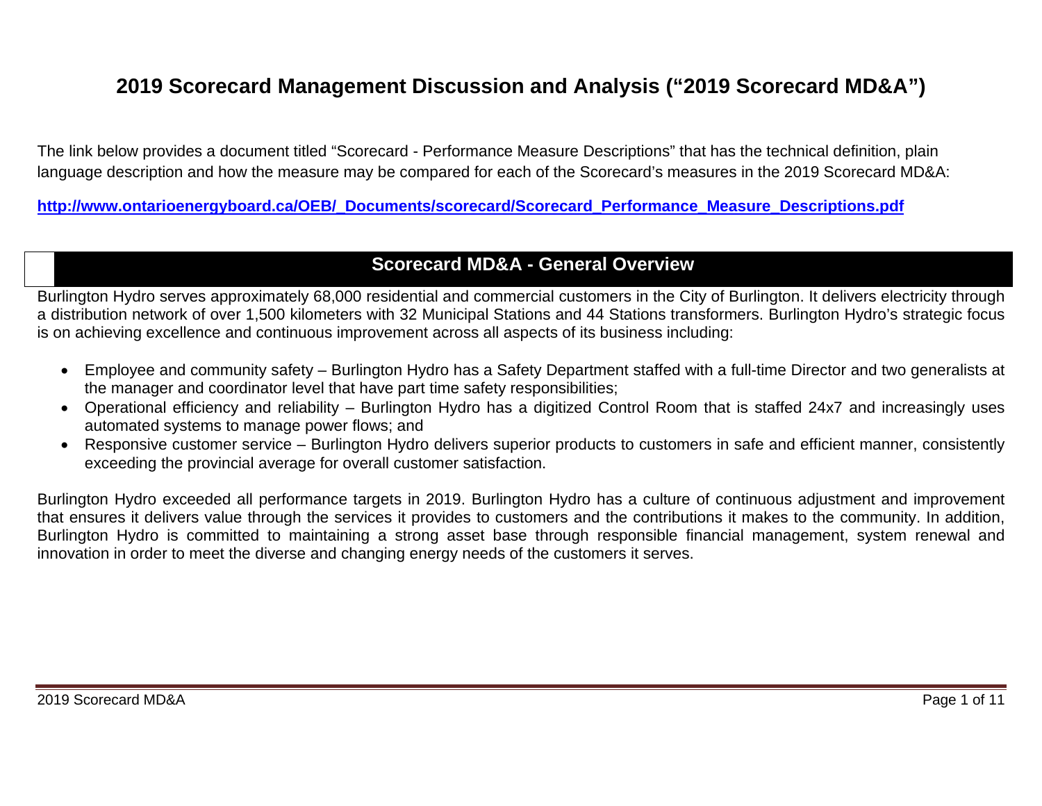# **2019 Scorecard Management Discussion and Analysis ("2019 Scorecard MD&A")**

The link below provides a document titled "Scorecard - Performance Measure Descriptions" that has the technical definition, plain language description and how the measure may be compared for each of the Scorecard's measures in the 2019 Scorecard MD&A:

**[http://www.ontarioenergyboard.ca/OEB/\\_Documents/scorecard/Scorecard\\_Performance\\_Measure\\_Descriptions.pdf](http://www.ontarioenergyboard.ca/OEB/_Documents/scorecard/Scorecard_Performance_Measure_Descriptions.pdf)**

# **Scorecard MD&A - General Overview**

Burlington Hydro serves approximately 68,000 residential and commercial customers in the City of Burlington. It delivers electricity through a distribution network of over 1,500 kilometers with 32 Municipal Stations and 44 Stations transformers. Burlington Hydro's strategic focus is on achieving excellence and continuous improvement across all aspects of its business including:

- Employee and community safety Burlington Hydro has a Safety Department staffed with a full-time Director and two generalists at the manager and coordinator level that have part time safety responsibilities;
- Operational efficiency and reliability Burlington Hydro has a digitized Control Room that is staffed 24x7 and increasingly uses automated systems to manage power flows; and
- Responsive customer service Burlington Hydro delivers superior products to customers in safe and efficient manner, consistently exceeding the provincial average for overall customer satisfaction.

Burlington Hydro exceeded all performance targets in 2019. Burlington Hydro has a culture of continuous adjustment and improvement that ensures it delivers value through the services it provides to customers and the contributions it makes to the community. In addition, Burlington Hydro is committed to maintaining a strong asset base through responsible financial management, system renewal and innovation in order to meet the diverse and changing energy needs of the customers it serves.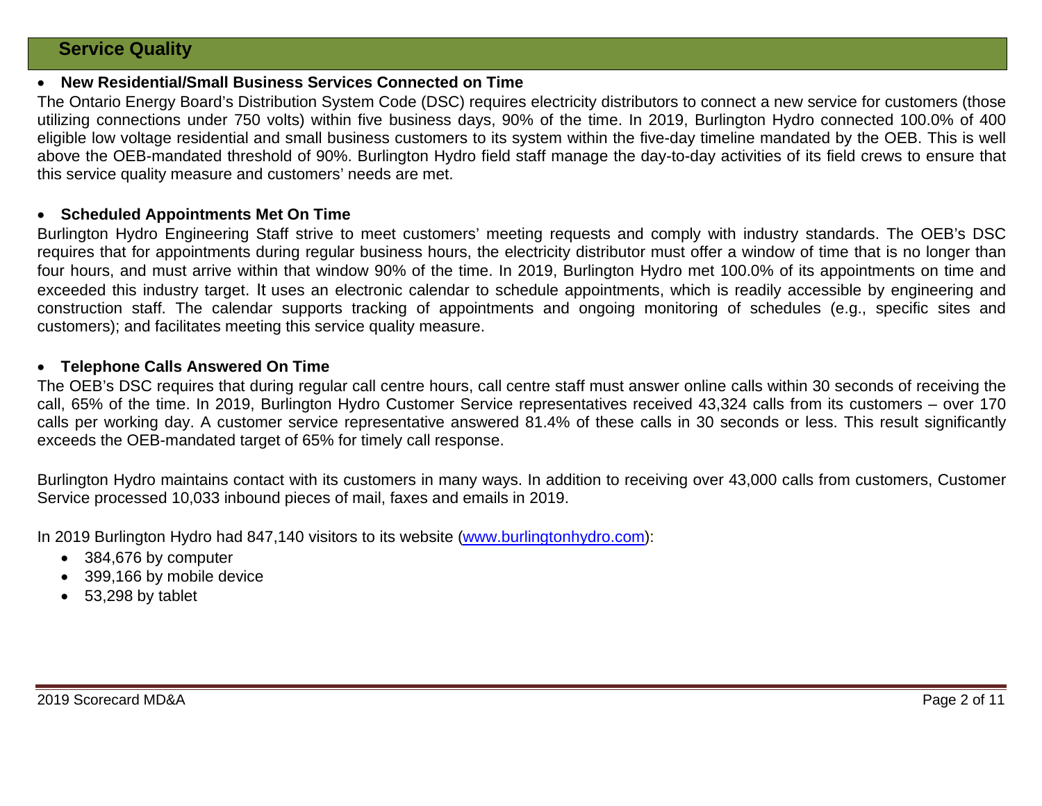### **Service Quality**

#### • **New Residential/Small Business Services Connected on Time**

The Ontario Energy Board's Distribution System Code (DSC) requires electricity distributors to connect a new service for customers (those utilizing connections under 750 volts) within five business days, 90% of the time. In 2019, Burlington Hydro connected 100.0% of 400 eligible low voltage residential and small business customers to its system within the five-day timeline mandated by the OEB. This is well above the OEB-mandated threshold of 90%. Burlington Hydro field staff manage the day-to-day activities of its field crews to ensure that this service quality measure and customers' needs are met.

#### • **Scheduled Appointments Met On Time**

Burlington Hydro Engineering Staff strive to meet customers' meeting requests and comply with industry standards. The OEB's DSC requires that for appointments during regular business hours, the electricity distributor must offer a window of time that is no longer than four hours, and must arrive within that window 90% of the time. In 2019, Burlington Hydro met 100.0% of its appointments on time and exceeded this industry target. It uses an electronic calendar to schedule appointments, which is readily accessible by engineering and construction staff. The calendar supports tracking of appointments and ongoing monitoring of schedules (e.g., specific sites and customers); and facilitates meeting this service quality measure.

#### • **Telephone Calls Answered On Time**

The OEB's DSC requires that during regular call centre hours, call centre staff must answer online calls within 30 seconds of receiving the call, 65% of the time. In 2019, Burlington Hydro Customer Service representatives received 43,324 calls from its customers – over 170 calls per working day. A customer service representative answered 81.4% of these calls in 30 seconds or less. This result significantly exceeds the OEB-mandated target of 65% for timely call response.

Burlington Hydro maintains contact with its customers in many ways. In addition to receiving over 43,000 calls from customers, Customer Service processed 10,033 inbound pieces of mail, faxes and emails in 2019.

In 2019 Burlington Hydro had 847,140 visitors to its website [\(www.burlingtonhydro.com\)](http://www.burlingtonhydro.com/):

- 384,676 by computer
- 399,166 by mobile device
- 53,298 by tablet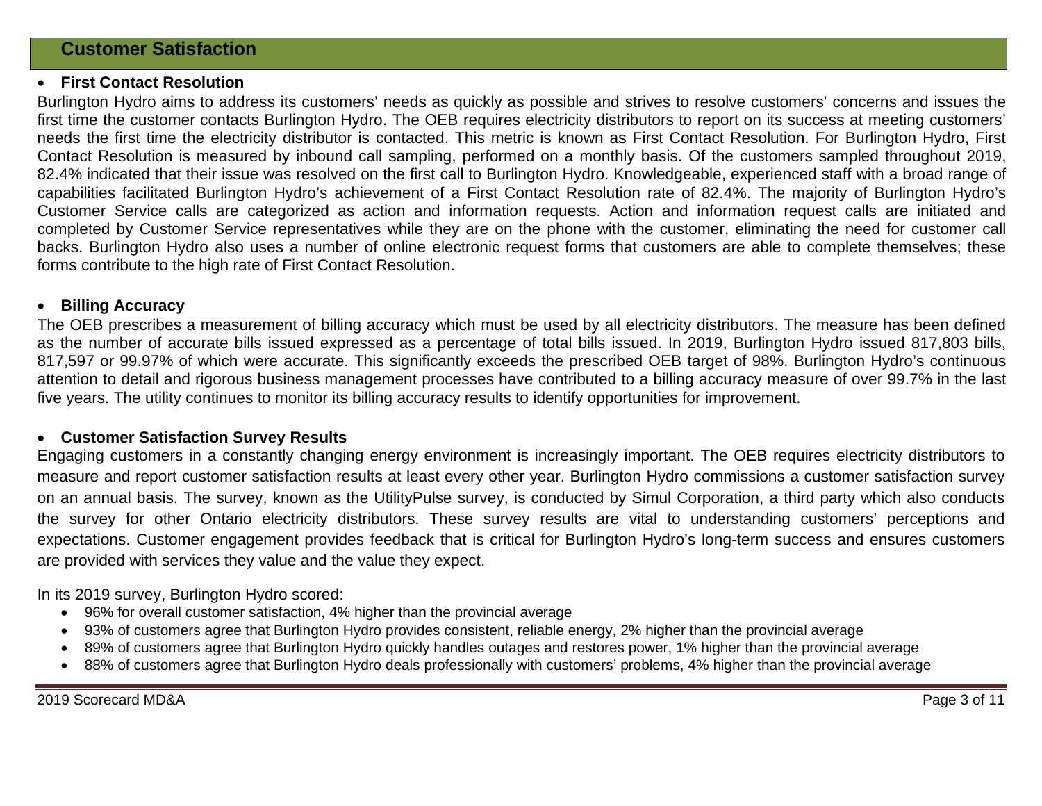#### • **First Contact Resolution**

Burlington Hydro aims to address its customers' needs as quickly as possible and strives to resolve customers' concerns and issues the first time the customer contacts Burlington Hydro. The OEB requires electricity distributors to report on its success at meeting customers' needs the first time the electricity distributor is contacted. This metric is known as First Contact Resolution. For Burlington Hydro, First Contact Resolution is measured by inbound call sampling, performed on a monthly basis. Of the customers sampled throughout 2019, 82.4% indicated that their issue was resolved on the first call to Burlington Hydro. Knowledgeable, experienced staff with a broad range of capabilities facilitated Burlington Hydro's achievement of a First Contact Resolution rate of 82.4%. The majority of Burlington Hydro's Customer Service calls are categorized as action and information requests. Action and information request calls are initiated and completed by Customer Service representatives while they are on the phone with the customer, eliminating the need for customer call backs. Burlington Hydro also uses a number of online electronic request forms that customers are able to complete themselves; these forms contribute to the high rate of First Contact Resolution.

#### • **Billing Accuracy**

The OEB prescribes a measurement of billing accuracy which must be used by all electricity distributors. The measure has been defined as the number of accurate bills issued expressed as a percentage of total bills issued. In 2019, Burlington Hydro issued 817,803 bills, 817,597 or 99.97% of which were accurate. This significantly exceeds the prescribed OEB target of 98%. Burlington Hydro's continuous attention to detail and rigorous business management processes have contributed to a billing accuracy measure of over 99.7% in the last five years. The utility continues to monitor its billing accuracy results to identify opportunities for improvement.

#### • **Customer Satisfaction Survey Results**

Engaging customers in a constantly changing energy environment is increasingly important. The OEB requires electricity distributors to measure and report customer satisfaction results at least every other year. Burlington Hydro commissions a customer satisfaction survey on an annual basis. The survey, known as the UtilityPulse survey, is conducted by Simul Corporation, a third party which also conducts the survey for other Ontario electricity distributors. These survey results are vital to understanding customers' perceptions and expectations. Customer engagement provides feedback that is critical for Burlington Hydro's long-term success and ensures customers are provided with services they value and the value they expect.

In its 2019 survey, Burlington Hydro scored:

- 96% for overall customer satisfaction, 4% higher than the provincial average
- 93% of customers agree that Burlington Hydro provides consistent, reliable energy, 2% higher than the provincial average
- 89% of customers agree that Burlington Hydro quickly handles outages and restores power, 1% higher than the provincial average
- 88% of customers agree that Burlington Hydro deals professionally with customers' problems, 4% higher than the provincial average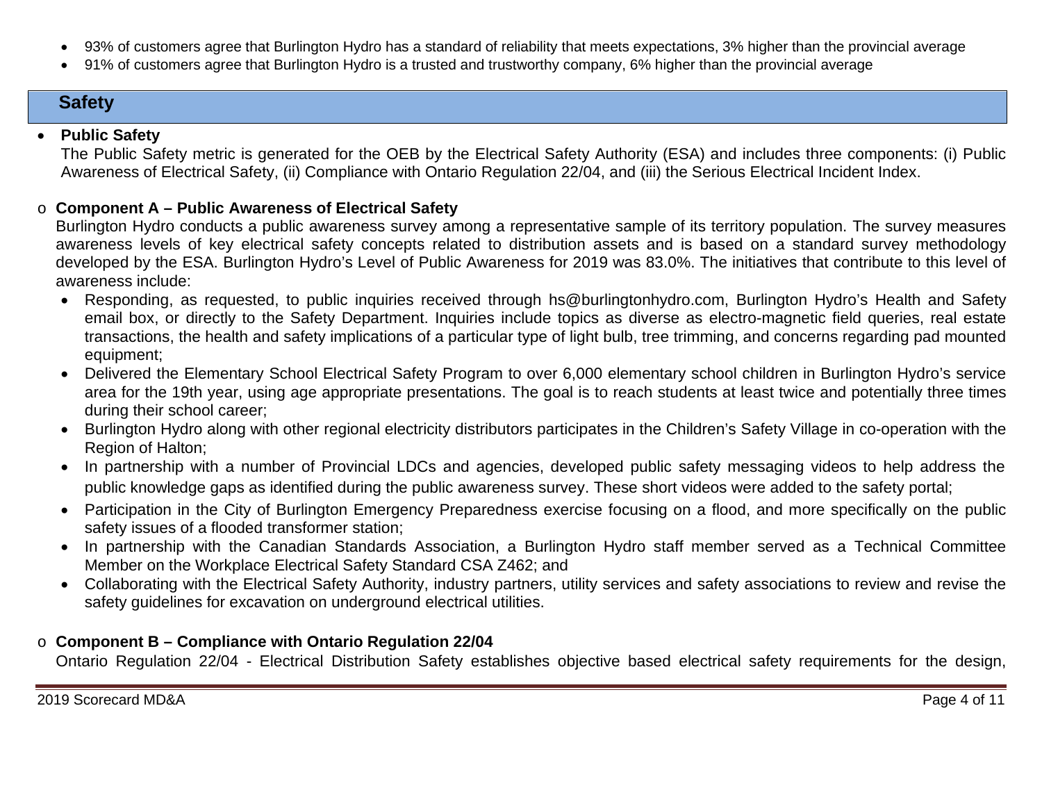- 93% of customers agree that Burlington Hydro has a standard of reliability that meets expectations, 3% higher than the provincial average
- 91% of customers agree that Burlington Hydro is a trusted and trustworthy company, 6% higher than the provincial average

# **Safety**

# • **Public Safety**

The Public Safety metric is generated for the OEB by the Electrical Safety Authority (ESA) and includes three components: (i) Public Awareness of Electrical Safety, (ii) Compliance with Ontario Regulation 22/04, and (iii) the Serious Electrical Incident Index.

# o **Component A – Public Awareness of Electrical Safety**

Burlington Hydro conducts a public awareness survey among a representative sample of its territory population. The survey measures awareness levels of key electrical safety concepts related to distribution assets and is based on a standard survey methodology developed by the ESA. Burlington Hydro's Level of Public Awareness for 2019 was 83.0%. The initiatives that contribute to this level of awareness include:

- Responding, as requested, to public inquiries received through hs@burlingtonhydro.com, Burlington Hydro's Health and Safety email box, or directly to the Safety Department. Inquiries include topics as diverse as electro-magnetic field queries, real estate transactions, the health and safety implications of a particular type of light bulb, tree trimming, and concerns regarding pad mounted equipment;
- Delivered the Elementary School Electrical Safety Program to over 6,000 elementary school children in Burlington Hydro's service area for the 19th year, using age appropriate presentations. The goal is to reach students at least twice and potentially three times during their school career;
- Burlington Hydro along with other regional electricity distributors participates in the Children's Safety Village in co-operation with the Region of Halton;
- In partnership with a number of Provincial LDCs and agencies, developed public safety messaging videos to help address the public knowledge gaps as identified during the public awareness survey. These short videos were added to the safety portal;
- Participation in the City of Burlington Emergency Preparedness exercise focusing on a flood, and more specifically on the public safety issues of a flooded transformer station;
- In partnership with the Canadian Standards Association, a Burlington Hydro staff member served as a Technical Committee Member on the Workplace Electrical Safety Standard CSA Z462; and
- Collaborating with the Electrical Safety Authority, industry partners, utility services and safety associations to review and revise the safety guidelines for excavation on underground electrical utilities.

# o **Component B – Compliance with Ontario Regulation 22/04**

Ontario Regulation 22/04 - Electrical Distribution Safety establishes objective based electrical safety requirements for the design,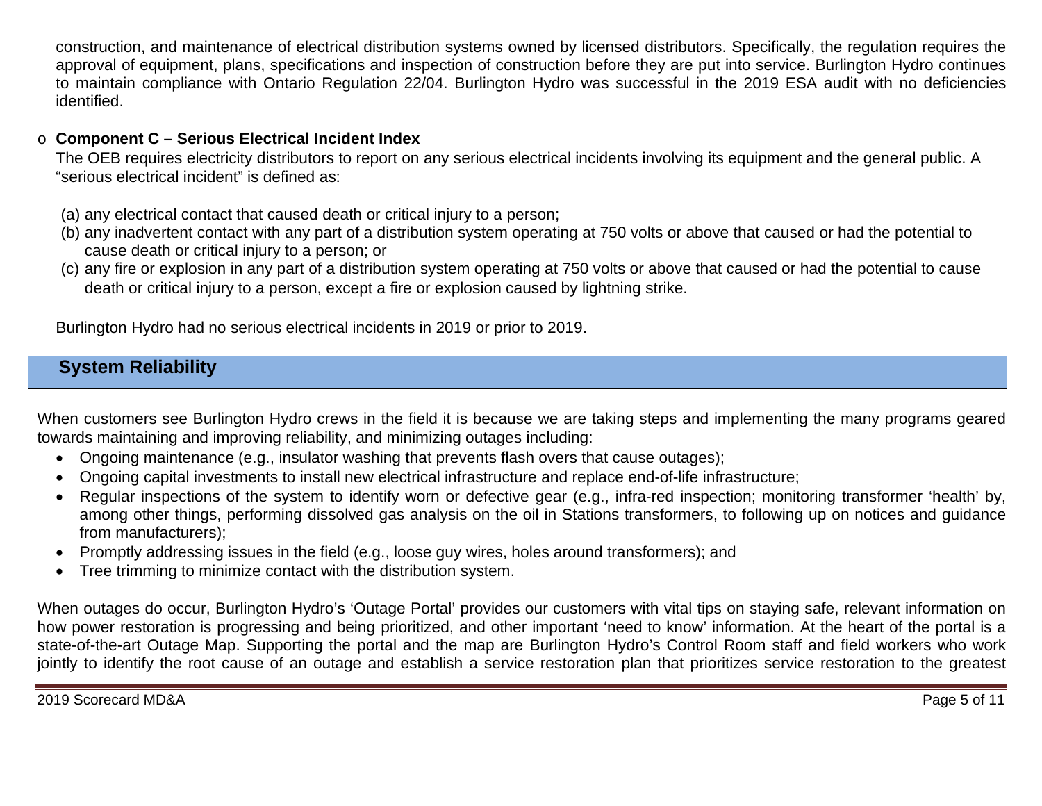construction, and maintenance of electrical distribution systems owned by licensed distributors. Specifically, the regulation requires the approval of equipment, plans, specifications and inspection of construction before they are put into service. Burlington Hydro continues to maintain compliance with Ontario Regulation 22/04. Burlington Hydro was successful in the 2019 ESA audit with no deficiencies identified.

## o **Component C – Serious Electrical Incident Index**

The OEB requires electricity distributors to report on any serious electrical incidents involving its equipment and the general public. A "serious electrical incident" is defined as:

(a) any electrical contact that caused death or critical injury to a person;

- (b) any inadvertent contact with any part of a distribution system operating at 750 volts or above that caused or had the potential to cause death or critical injury to a person; or
- (c) any fire or explosion in any part of a distribution system operating at 750 volts or above that caused or had the potential to cause death or critical injury to a person, except a fire or explosion caused by lightning strike.

Burlington Hydro had no serious electrical incidents in 2019 or prior to 2019.

# **System Reliability**

When customers see Burlington Hydro crews in the field it is because we are taking steps and implementing the many programs geared towards maintaining and improving reliability, and minimizing outages including:

- Ongoing maintenance (e.g., insulator washing that prevents flash overs that cause outages);
- Ongoing capital investments to install new electrical infrastructure and replace end-of-life infrastructure;
- Regular inspections of the system to identify worn or defective gear (e.g., infra-red inspection; monitoring transformer 'health' by, among other things, performing dissolved gas analysis on the oil in Stations transformers, to following up on notices and guidance from manufacturers);
- Promptly addressing issues in the field (e.g., loose guy wires, holes around transformers); and
- Tree trimming to minimize contact with the distribution system.

When outages do occur, Burlington Hydro's 'Outage Portal' provides our customers with vital tips on staying safe, relevant information on how power restoration is progressing and being prioritized, and other important 'need to know' information. At the heart of the portal is a state-of-the-art Outage Map. Supporting the portal and the map are Burlington Hydro's Control Room staff and field workers who work jointly to identify the root cause of an outage and establish a service restoration plan that prioritizes service restoration to the greatest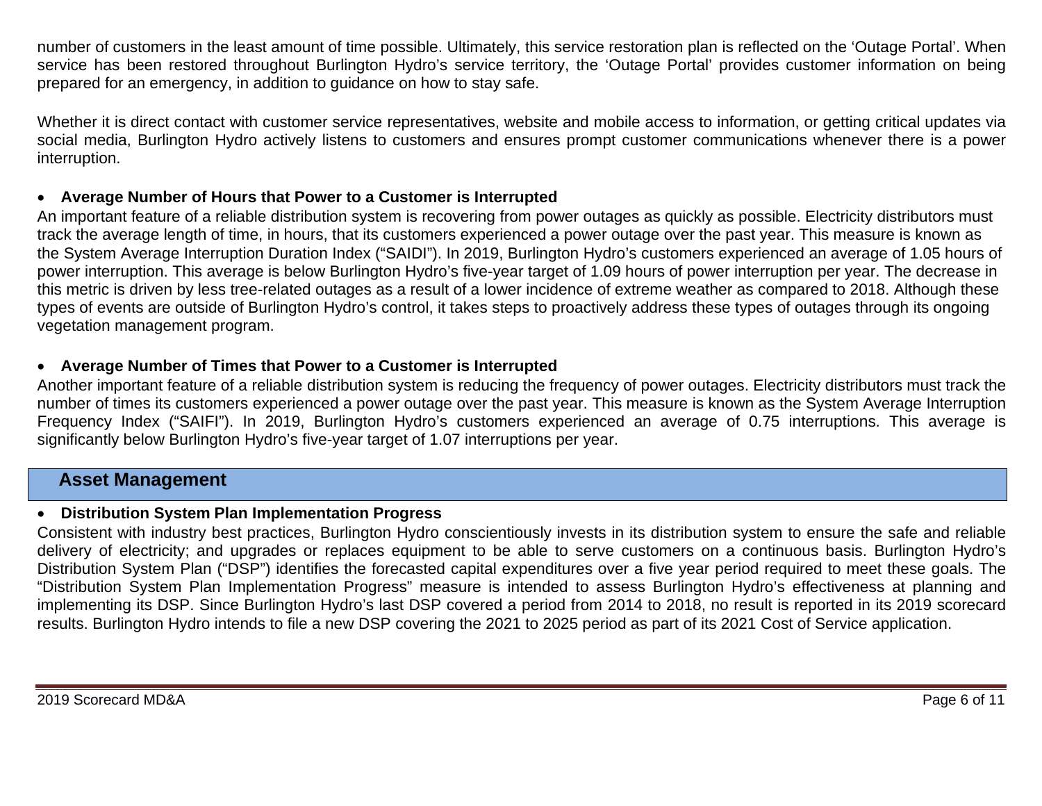number of customers in the least amount of time possible. Ultimately, this service restoration plan is reflected on the 'Outage Portal'. When service has been restored throughout Burlington Hydro's service territory, the 'Outage Portal' provides customer information on being prepared for an emergency, in addition to guidance on how to stay safe.

Whether it is direct contact with customer service representatives, website and mobile access to information, or getting critical updates via social media, Burlington Hydro actively listens to customers and ensures prompt customer communications whenever there is a power interruption.

### • **Average Number of Hours that Power to a Customer is Interrupted**

An important feature of a reliable distribution system is recovering from power outages as quickly as possible. Electricity distributors must track the average length of time, in hours, that its customers experienced a power outage over the past year. This measure is known as the System Average Interruption Duration Index ("SAIDI"). In 2019, Burlington Hydro's customers experienced an average of 1.05 hours of power interruption. This average is below Burlington Hydro's five-year target of 1.09 hours of power interruption per year. The decrease in this metric is driven by less tree-related outages as a result of a lower incidence of extreme weather as compared to 2018. Although these types of events are outside of Burlington Hydro's control, it takes steps to proactively address these types of outages through its ongoing vegetation management program.

### • **Average Number of Times that Power to a Customer is Interrupted**

Another important feature of a reliable distribution system is reducing the frequency of power outages. Electricity distributors must track the number of times its customers experienced a power outage over the past year. This measure is known as the System Average Interruption Frequency Index ("SAIFI"). In 2019, Burlington Hydro's customers experienced an average of 0.75 interruptions. This average is significantly below Burlington Hydro's five-year target of 1.07 interruptions per year.

### **Asset Management**

#### • **Distribution System Plan Implementation Progress**

Consistent with industry best practices, Burlington Hydro conscientiously invests in its distribution system to ensure the safe and reliable delivery of electricity; and upgrades or replaces equipment to be able to serve customers on a continuous basis. Burlington Hydro's Distribution System Plan ("DSP") identifies the forecasted capital expenditures over a five year period required to meet these goals. The "Distribution System Plan Implementation Progress" measure is intended to assess Burlington Hydro's effectiveness at planning and implementing its DSP. Since Burlington Hydro's last DSP covered a period from 2014 to 2018, no result is reported in its 2019 scorecard results. Burlington Hydro intends to file a new DSP covering the 2021 to 2025 period as part of its 2021 Cost of Service application.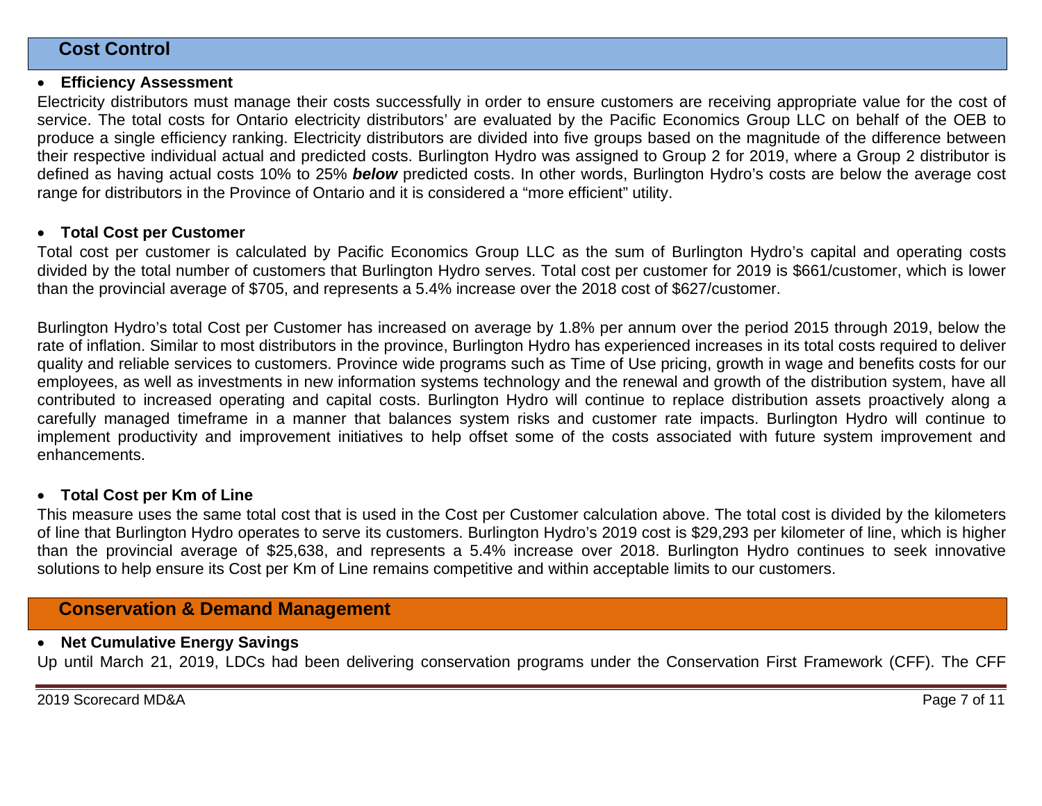### **Cost Control**

#### • **Efficiency Assessment**

Electricity distributors must manage their costs successfully in order to ensure customers are receiving appropriate value for the cost of service. The total costs for Ontario electricity distributors' are evaluated by the Pacific Economics Group LLC on behalf of the OEB to produce a single efficiency ranking. Electricity distributors are divided into five groups based on the magnitude of the difference between their respective individual actual and predicted costs. Burlington Hydro was assigned to Group 2 for 2019, where a Group 2 distributor is defined as having actual costs 10% to 25% *below* predicted costs. In other words, Burlington Hydro's costs are below the average cost range for distributors in the Province of Ontario and it is considered a "more efficient" utility.

#### • **Total Cost per Customer**

Total cost per customer is calculated by Pacific Economics Group LLC as the sum of Burlington Hydro's capital and operating costs divided by the total number of customers that Burlington Hydro serves. Total cost per customer for 2019 is \$661/customer, which is lower than the provincial average of \$705, and represents a 5.4% increase over the 2018 cost of \$627/customer.

Burlington Hydro's total Cost per Customer has increased on average by 1.8% per annum over the period 2015 through 2019, below the rate of inflation. Similar to most distributors in the province, Burlington Hydro has experienced increases in its total costs required to deliver quality and reliable services to customers. Province wide programs such as Time of Use pricing, growth in wage and benefits costs for our employees, as well as investments in new information systems technology and the renewal and growth of the distribution system, have all contributed to increased operating and capital costs. Burlington Hydro will continue to replace distribution assets proactively along a carefully managed timeframe in a manner that balances system risks and customer rate impacts. Burlington Hydro will continue to implement productivity and improvement initiatives to help offset some of the costs associated with future system improvement and enhancements.

#### • **Total Cost per Km of Line**

This measure uses the same total cost that is used in the Cost per Customer calculation above. The total cost is divided by the kilometers of line that Burlington Hydro operates to serve its customers. Burlington Hydro's 2019 cost is \$29,293 per kilometer of line, which is higher than the provincial average of \$25,638, and represents a 5.4% increase over 2018. Burlington Hydro continues to seek innovative solutions to help ensure its Cost per Km of Line remains competitive and within acceptable limits to our customers.

# **Conservation & Demand Management**

#### • **Net Cumulative Energy Savings**

Up until March 21, 2019, LDCs had been delivering conservation programs under the Conservation First Framework (CFF). The CFF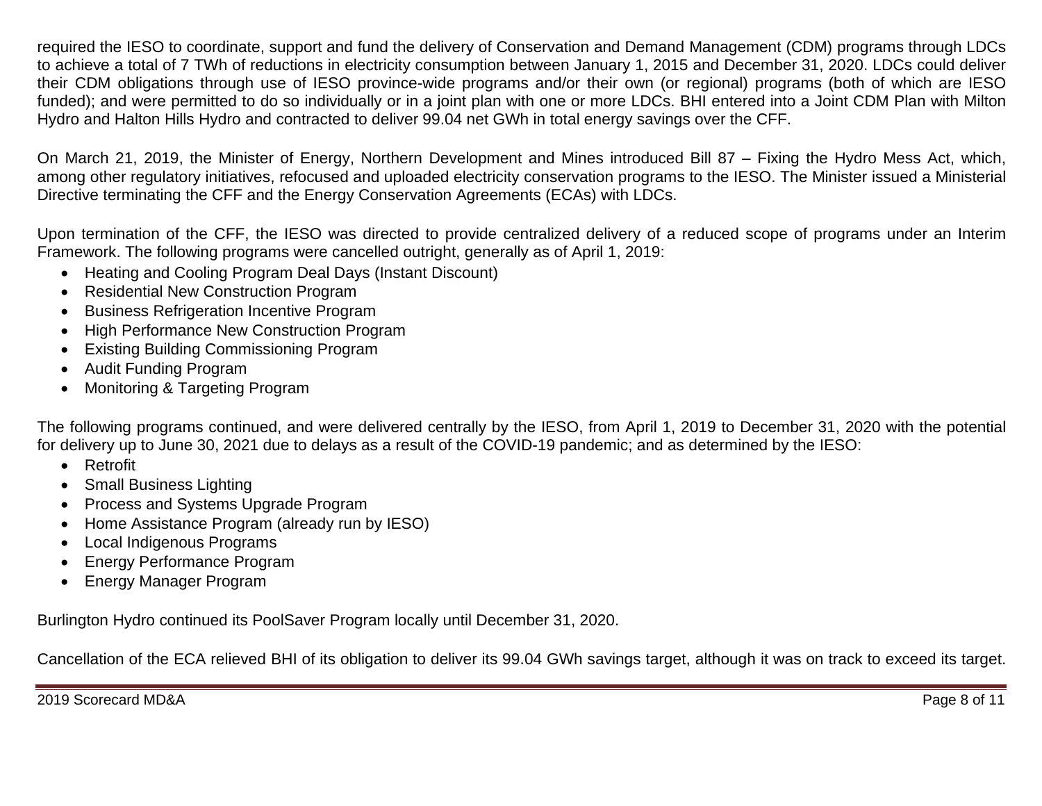required the IESO to coordinate, support and fund the delivery of Conservation and Demand Management (CDM) programs through LDCs to achieve a total of 7 TWh of reductions in electricity consumption between January 1, 2015 and December 31, 2020. LDCs could deliver their CDM obligations through use of IESO province-wide programs and/or their own (or regional) programs (both of which are IESO funded); and were permitted to do so individually or in a joint plan with one or more LDCs. BHI entered into a Joint CDM Plan with Milton Hydro and Halton Hills Hydro and contracted to deliver 99.04 net GWh in total energy savings over the CFF.

On March 21, 2019, the Minister of Energy, Northern Development and Mines introduced Bill 87 – Fixing the Hydro Mess Act, which, among other regulatory initiatives, refocused and uploaded electricity conservation programs to the IESO. The Minister issued a Ministerial Directive terminating the CFF and the Energy Conservation Agreements (ECAs) with LDCs.

Upon termination of the CFF, the IESO was directed to provide centralized delivery of a reduced scope of programs under an Interim Framework. The following programs were cancelled outright, generally as of April 1, 2019:

- Heating and Cooling Program Deal Days (Instant Discount)
- Residential New Construction Program
- Business Refrigeration Incentive Program
- High Performance New Construction Program
- Existing Building Commissioning Program
- Audit Funding Program
- Monitoring & Targeting Program

The following programs continued, and were delivered centrally by the IESO, from April 1, 2019 to December 31, 2020 with the potential for delivery up to June 30, 2021 due to delays as a result of the COVID-19 pandemic; and as determined by the IESO:

- Retrofit
- Small Business Lighting
- Process and Systems Upgrade Program
- Home Assistance Program (already run by IESO)
- Local Indigenous Programs
- Energy Performance Program
- Energy Manager Program

Burlington Hydro continued its PoolSaver Program locally until December 31, 2020.

Cancellation of the ECA relieved BHI of its obligation to deliver its 99.04 GWh savings target, although it was on track to exceed its target.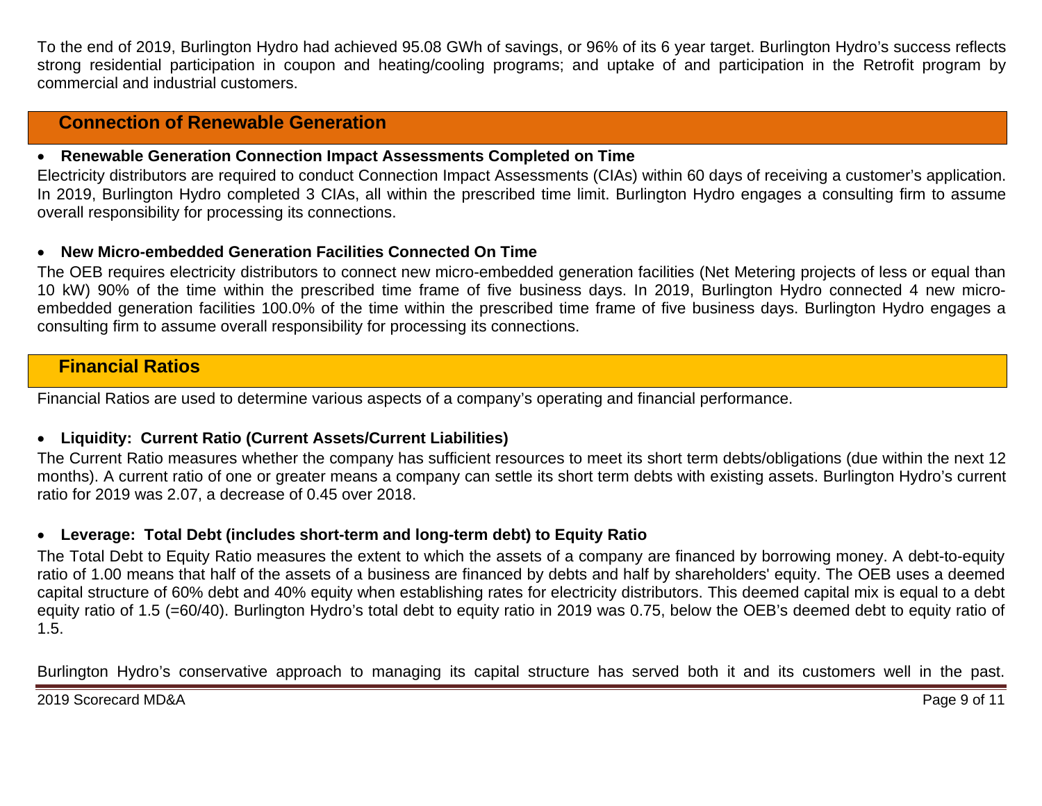To the end of 2019, Burlington Hydro had achieved 95.08 GWh of savings, or 96% of its 6 year target. Burlington Hydro's success reflects strong residential participation in coupon and heating/cooling programs; and uptake of and participation in the Retrofit program by commercial and industrial customers.

# **Connection of Renewable Generation**

#### • **Renewable Generation Connection Impact Assessments Completed on Time**

Electricity distributors are required to conduct Connection Impact Assessments (CIAs) within 60 days of receiving a customer's application. In 2019, Burlington Hydro completed 3 CIAs, all within the prescribed time limit. Burlington Hydro engages a consulting firm to assume overall responsibility for processing its connections.

#### • **New Micro-embedded Generation Facilities Connected On Time**

The OEB requires electricity distributors to connect new micro-embedded generation facilities (Net Metering projects of less or equal than 10 kW) 90% of the time within the prescribed time frame of five business days. In 2019, Burlington Hydro connected 4 new microembedded generation facilities 100.0% of the time within the prescribed time frame of five business days. Burlington Hydro engages a consulting firm to assume overall responsibility for processing its connections.

# **Financial Ratios**

Financial Ratios are used to determine various aspects of a company's operating and financial performance.

### • **Liquidity: Current Ratio (Current Assets/Current Liabilities)**

The Current Ratio measures whether the company has sufficient resources to meet its short term debts/obligations (due within the next 12 months). A current ratio of one or greater means a company can settle its short term debts with existing assets. Burlington Hydro's current ratio for 2019 was 2.07, a decrease of 0.45 over 2018.

#### • **Leverage: Total Debt (includes short-term and long-term debt) to Equity Ratio**

The Total Debt to Equity Ratio measures the extent to which the assets of a company are financed by borrowing money. A debt-to-equity ratio of 1.00 means that half of the assets of a business are financed by debts and half by shareholders' equity. The OEB uses a deemed capital structure of 60% debt and 40% equity when establishing rates for electricity distributors. This deemed capital mix is equal to a debt equity ratio of 1.5 (=60/40). Burlington Hydro's total debt to equity ratio in 2019 was 0.75, below the OEB's deemed debt to equity ratio of 1.5.

Burlington Hydro's conservative approach to managing its capital structure has served both it and its customers well in the past.

2019 Scorecard MD&A Page 9 of 11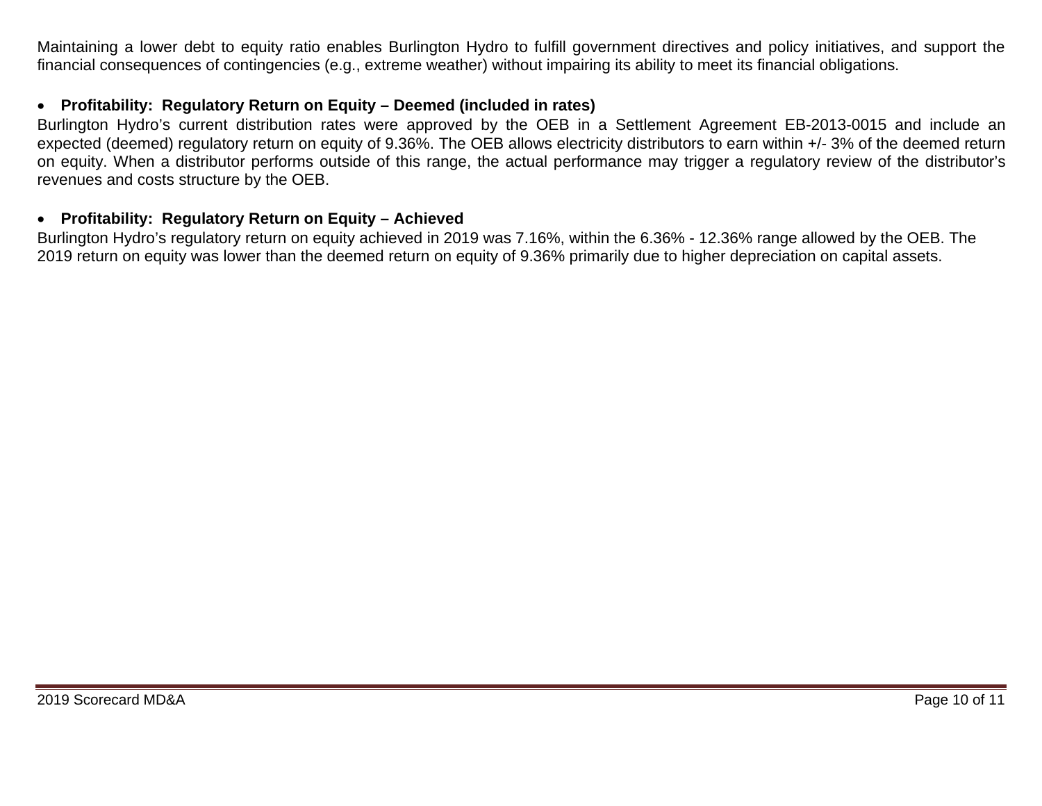Maintaining a lower debt to equity ratio enables Burlington Hydro to fulfill government directives and policy initiatives, and support the financial consequences of contingencies (e.g., extreme weather) without impairing its ability to meet its financial obligations.

### • **Profitability: Regulatory Return on Equity – Deemed (included in rates)**

Burlington Hydro's current distribution rates were approved by the OEB in a Settlement Agreement EB-2013-0015 and include an expected (deemed) regulatory return on equity of 9.36%. The OEB allows electricity distributors to earn within +/- 3% of the deemed return on equity. When a distributor performs outside of this range, the actual performance may trigger a regulatory review of the distributor's revenues and costs structure by the OEB.

#### • **Profitability: Regulatory Return on Equity – Achieved**

Burlington Hydro's regulatory return on equity achieved in 2019 was 7.16%, within the 6.36% - 12.36% range allowed by the OEB. The 2019 return on equity was lower than the deemed return on equity of 9.36% primarily due to higher depreciation on capital assets.